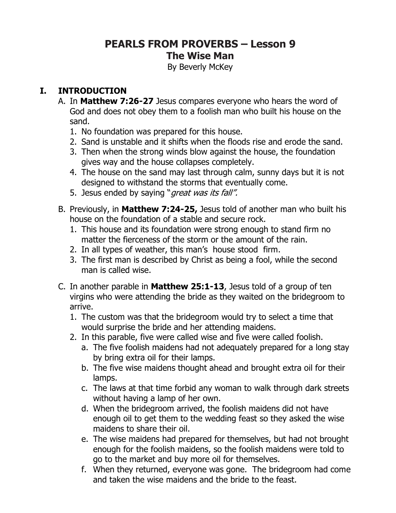# **PEARLS FROM PROVERBS – Lesson 9 The Wise Man**

By Beverly McKey

#### **I. INTRODUCTION**

- A. In **Matthew 7:26-27** Jesus compares everyone who hears the word of God and does not obey them to a foolish man who built his house on the sand.
	- 1. No foundation was prepared for this house.
	- 2. Sand is unstable and it shifts when the floods rise and erode the sand.
	- 3. Then when the strong winds blow against the house, the foundation gives way and the house collapses completely.
	- 4. The house on the sand may last through calm, sunny days but it is not designed to withstand the storms that eventually come.
	- 5. Jesus ended by saying "great was its fall".
- B. Previously, in **Matthew 7:24-25,** Jesus told of another man who built his house on the foundation of a stable and secure rock.
	- 1. This house and its foundation were strong enough to stand firm no matter the fierceness of the storm or the amount of the rain.
	- 2. In all types of weather, this man's house stood firm.
	- 3. The first man is described by Christ as being a fool, while the second man is called wise.
- C. In another parable in **Matthew 25:1-13**, Jesus told of a group of ten virgins who were attending the bride as they waited on the bridegroom to arrive.
	- 1. The custom was that the bridegroom would try to select a time that would surprise the bride and her attending maidens.
	- 2. In this parable, five were called wise and five were called foolish.
		- a. The five foolish maidens had not adequately prepared for a long stay by bring extra oil for their lamps.
		- b. The five wise maidens thought ahead and brought extra oil for their lamps.
		- c. The laws at that time forbid any woman to walk through dark streets without having a lamp of her own.
		- d. When the bridegroom arrived, the foolish maidens did not have enough oil to get them to the wedding feast so they asked the wise maidens to share their oil.
		- e. The wise maidens had prepared for themselves, but had not brought enough for the foolish maidens, so the foolish maidens were told to go to the market and buy more oil for themselves.
		- f. When they returned, everyone was gone. The bridegroom had come and taken the wise maidens and the bride to the feast.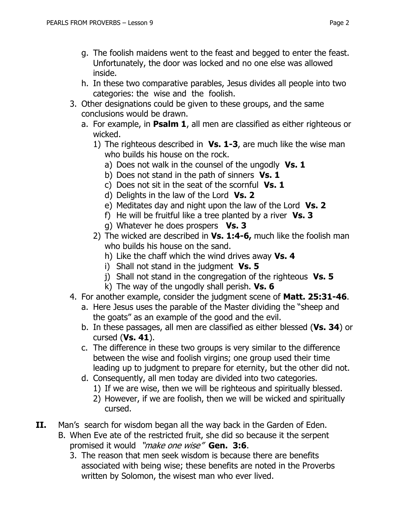- h. In these two comparative parables, Jesus divides all people into two categories: the wise and the foolish.
- 3. Other designations could be given to these groups, and the same conclusions would be drawn.
	- a. For example, in **Psalm 1**, all men are classified as either righteous or wicked.
		- 1) The righteous described in **Vs. 1-3**, are much like the wise man who builds his house on the rock.
			- a) Does not walk in the counsel of the ungodly **Vs. 1**
			- b) Does not stand in the path of sinners **Vs. 1**
			- c) Does not sit in the seat of the scornful **Vs. 1**
			- d) Delights in the law of the Lord **Vs. 2**
			- e) Meditates day and night upon the law of the Lord **Vs. 2**
			- f) He will be fruitful like a tree planted by a river **Vs. 3**
			- g) Whatever he does prospers **Vs. 3**
		- 2) The wicked are described in **Vs. 1:4-6,** much like the foolish man who builds his house on the sand.
			- h) Like the chaff which the wind drives away **Vs. 4**
			- i) Shall not stand in the judgment **Vs. 5**
			- j) Shall not stand in the congregation of the righteous **Vs. 5**
			- k) The way of the ungodly shall perish. **Vs. 6**
- 4. For another example, consider the judgment scene of **Matt. 25:31-46**.
	- a. Here Jesus uses the parable of the Master dividing the "sheep and the goats" as an example of the good and the evil.
	- b. In these passages, all men are classified as either blessed (**Vs. 34**) or cursed (**Vs. 41**).
	- c. The difference in these two groups is very similar to the difference between the wise and foolish virgins; one group used their time leading up to judgment to prepare for eternity, but the other did not.
	- d. Consequently, all men today are divided into two categories.
		- 1) If we are wise, then we will be righteous and spiritually blessed.
		- 2) However, if we are foolish, then we will be wicked and spiritually cursed.
- **II.** Man's search for wisdom began all the way back in the Garden of Eden.
	- B. When Eve ate of the restricted fruit, she did so because it the serpent promised it would "make one wise" **Gen. 3:6**.
		- 3. The reason that men seek wisdom is because there are benefits associated with being wise; these benefits are noted in the Proverbs written by Solomon, the wisest man who ever lived.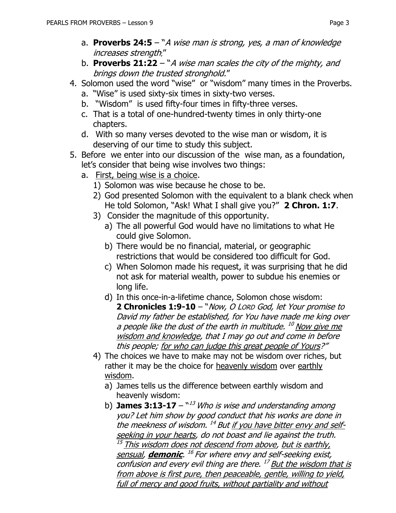- a. **Proverbs 24:5**  "A wise man is strong, yes, a man of knowledge increases strength;"
- b. **Proverbs 21:22**  "A wise man scales the city of the mighty, and brings down the trusted stronghold."
- 4. Solomon used the word "wise" or "wisdom" many times in the Proverbs.
	- a. "Wise" is used sixty-six times in sixty-two verses.
	- b. "Wisdom" is used fifty-four times in fifty-three verses.
	- c. That is a total of one-hundred-twenty times in only thirty-one chapters.
	- d. With so many verses devoted to the wise man or wisdom, it is deserving of our time to study this subject.
- 5. Before we enter into our discussion of the wise man, as a foundation, let's consider that being wise involves two things:
	- a. First, being wise is a choice.
		- 1) Solomon was wise because he chose to be.
		- 2) God presented Solomon with the equivalent to a blank check when He told Solomon, "Ask! What I shall give you?" **2 Chron. 1:7**.
		- 3) Consider the magnitude of this opportunity.
			- a) The all powerful God would have no limitations to what He could give Solomon.
			- b) There would be no financial, material, or geographic restrictions that would be considered too difficult for God.
			- c) When Solomon made his request, it was surprising that he did not ask for material wealth, power to subdue his enemies or long life.
			- d) In this once-in-a-lifetime chance, Solomon chose wisdom: **2 Chronicles 1:9-10** – "Now, O LORD God, let Your promise to David my father be established, for You have made me king over a people like the dust of the earth in multitude. <sup>10</sup> Now give me wisdom and knowledge, that I may go out and come in before this people; for who can judge this great people of Yours?"
		- 4) The choices we have to make may not be wisdom over riches, but rather it may be the choice for heavenly wisdom over earthly wisdom.
			- a) James tells us the difference between earthly wisdom and heavenly wisdom:
			- b) **James 3:13-17**  $^{\text{M3}}$  Who is wise and understanding among you? Let him show by good conduct that his works are done in the meekness of wisdom. <sup>14</sup> But <u>if you have bitter envy and self-</u> seeking in your hearts, do not boast and lie against the truth.  $^\mathrm{15}$  This wisdom does not descend from above, but is earthly, sensual, **demonic**. 16 For where envy and self-seeking exist, confusion and every evil thing are there. <sup>17</sup> But the wisdom that is from above is first pure, then peaceable, gentle, willing to yield, full of mercy and good fruits, without partiality and without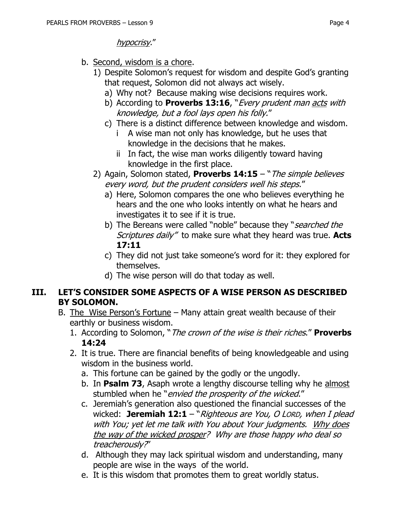- b. Second, wisdom is a chore.
	- 1) Despite Solomon's request for wisdom and despite God's granting that request, Solomon did not always act wisely.
		- a) Why not? Because making wise decisions requires work.
		- b) According to **Proverbs 13:16**, "*Every prudent man acts with* knowledge, but a fool lays open his folly."
		- c) There is a distinct difference between knowledge and wisdom.
			- i A wise man not only has knowledge, but he uses that knowledge in the decisions that he makes.
			- ii In fact, the wise man works diligently toward having knowledge in the first place.
	- 2) Again, Solomon stated, **Proverbs 14:15**  "The simple believes every word, but the prudent considers well his steps."
		- a) Here, Solomon compares the one who believes everything he hears and the one who looks intently on what he hears and investigates it to see if it is true.
		- b) The Bereans were called "noble" because they "*searched the* Scriptures daily" to make sure what they heard was true. **Acts 17:11**
		- c) They did not just take someone's word for it: they explored for themselves.
		- d) The wise person will do that today as well.

#### **III. LET'S CONSIDER SOME ASPECTS OF A WISE PERSON AS DESCRIBED BY SOLOMON.**

- B. The Wise Person's Fortune Many attain great wealth because of their earthly or business wisdom.
	- 1. According to Solomon, "The crown of the wise is their riches." **Proverbs 14:24**
	- 2. It is true. There are financial benefits of being knowledgeable and using wisdom in the business world.
		- a. This fortune can be gained by the godly or the ungodly.
		- b. In **Psalm 73**, Asaph wrote a lengthy discourse telling why he almost stumbled when he "*envied the prosperity of the wicked."*
		- c. Jeremiah's generation also questioned the financial successes of the wicked: **Jeremiah 12:1** – "*Righteous are You, O LORD, when I plead* with You; yet let me talk with You about Your judgments. Why does the way of the wicked prosper? Why are those happy who deal so treacherously?"
		- d. Although they may lack spiritual wisdom and understanding, many people are wise in the ways of the world.
		- e. It is this wisdom that promotes them to great worldly status.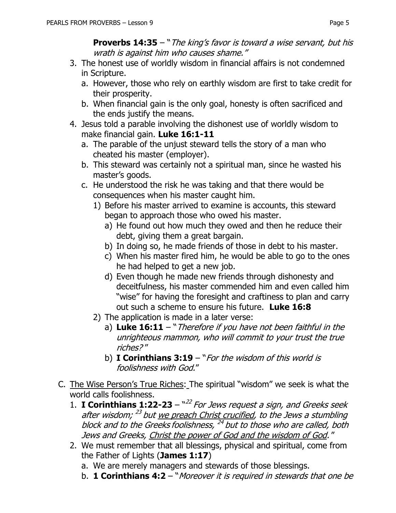**Proverbs 14:35** – "The king's favor is toward a wise servant, but his wrath is against him who causes shame."

- 3. The honest use of worldly wisdom in financial affairs is not condemned in Scripture.
	- a. However, those who rely on earthly wisdom are first to take credit for their prosperity.
	- b. When financial gain is the only goal, honesty is often sacrificed and the ends justify the means.
- 4. Jesus told a parable involving the dishonest use of worldly wisdom to make financial gain. **Luke 16:1-11**
	- a. The parable of the unjust steward tells the story of a man who cheated his master (employer).
	- b. This steward was certainly not a spiritual man, since he wasted his master's goods.
	- c. He understood the risk he was taking and that there would be consequences when his master caught him.
		- 1) Before his master arrived to examine is accounts, this steward began to approach those who owed his master.
			- a) He found out how much they owed and then he reduce their debt, giving them a great bargain.
			- b) In doing so, he made friends of those in debt to his master.
			- c) When his master fired him, he would be able to go to the ones he had helped to get a new job.
			- d) Even though he made new friends through dishonesty and deceitfulness, his master commended him and even called him "wise" for having the foresight and craftiness to plan and carry out such a scheme to ensure his future. **Luke 16:8**
		- 2) The application is made in a later verse:
			- a) **Luke 16:11** "Therefore if you have not been faithful in the unrighteous mammon, who will commit to your trust the true riches? "
			- b) **I Corinthians 3:19**  "For the wisdom of this world is foolishness with God."
- C. The Wise Person's True Riches: The spiritual "wisdom" we seek is what the world calls foolishness.
	- 1. **I Corinthians 1:22-23**  " 22 For Jews request a sign, and Greeks seek after wisdom; <sup>23</sup> but <u>we preach Christ crucified</u>, to the Jews a stumbling block and to the Greeks foolishness, <sup>24</sup> but to those who are called, both Jews and Greeks, Christ the power of God and the wisdom of God. "
	- 2. We must remember that all blessings, physical and spiritual, come from the Father of Lights (**James 1:17**)
		- a. We are merely managers and stewards of those blessings.
		- b. **1 Corinthians 4:2** "Moreover it is required in stewards that one be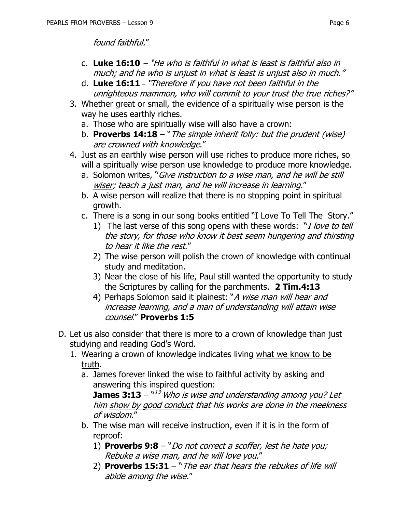found faithful."

- c. **Luke 16:10** "He who is faithful in what is least is faithful also in much; and he who is unjust in what is least is unjust also in much."
- d. **Luke 16:11** "Therefore if you have not been faithful in the unrighteous mammon, who will commit to your trust the true riches?"
- 3. Whether great or small, the evidence of a spiritually wise person is the way he uses earthly riches.
	- a. Those who are spiritually wise will also have a crown:
	- b. **Proverbs 14:18** "The simple inherit folly: but the prudent (wise) are crowned with knowledge."
- 4. Just as an earthly wise person will use riches to produce more riches, so will a spiritually wise person use knowledge to produce more knowledge.
	- a. Solomon writes, "*Give instruction to a wise man, and he will be still* wiser; teach a just man, and he will increase in learning."
	- b. A wise person will realize that there is no stopping point in spiritual growth.
	- c. There is a song in our song books entitled "I Love To Tell The Story."
		- 1) The last verse of this song opens with these words: "*I love to tell* the story, for those who know it best seem hungering and thirsting to hear it like the rest."
		- 2) The wise person will polish the crown of knowledge with continual study and meditation.
		- 3) Near the close of his life, Paul still wanted the opportunity to study the Scriptures by calling for the parchments. **2 Tim.4:13**
		- 4) Perhaps Solomon said it plainest: "A wise man will hear and increase learning, and a man of understanding will attain wise counsel." **Proverbs 1:5**
- D. Let us also consider that there is more to a crown of knowledge than just studying and reading God's Word.
	- 1. Wearing a crown of knowledge indicates living what we know to be truth.
		- a. James forever linked the wise to faithful activity by asking and answering this inspired question:

**James 3:13** –  $^{\text{N13}}$  Who is wise and understanding among you? Let him show by good conduct that his works are done in the meekness of wisdom."

- b. The wise man will receive instruction, even if it is in the form of reproof:
	- 1) **Proverbs 9:8** "Do not correct a scoffer, lest he hate you; Rebuke a wise man, and he will love you."
	- 2) **Proverbs 15:31**  "The ear that hears the rebukes of life will abide among the wise."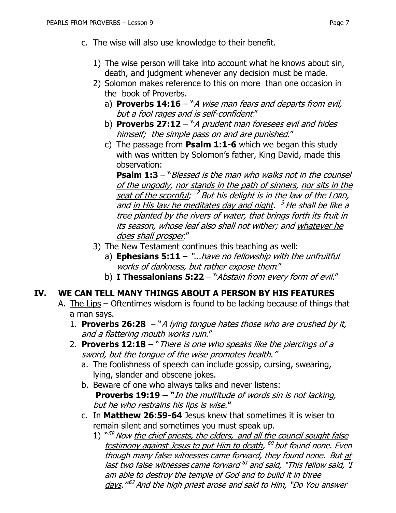- c. The wise will also use knowledge to their benefit.
	- 1) The wise person will take into account what he knows about sin, death, and judgment whenever any decision must be made.
	- 2) Solomon makes reference to this on more than one occasion in the book of Proverbs.
		- a) **Proverbs 14:16**  "A wise man fears and departs from evil, but a fool rages and is self-confident."
		- b) **Proverbs 27:12** "A prudent man foresees evil and hides himself; the simple pass on and are punished."
		- c) The passage from **Psalm 1:1-6** which we began this study with was written by Solomon's father, King David, made this observation:

**Psalm 1:3** – "*Blessed is the man who walks not in the counsel* of the ungodly, nor stands in the path of sinners, nor sits in the seat of the scornful; <sup>2</sup> But his delight is in the law of the Lorp, and <u>in His law he meditates day and night</u>. <sup>3</sup> He shall be like a tree planted by the rivers of water, that brings forth its fruit in its season, whose leaf also shall not wither; and whatever he does shall prosper."

- 3) The New Testament continues this teaching as well:
	- a) **Ephesians 5:11**  "...have no fellowship with the unfruitful works of darkness, but rather expose them*.*"
	- b) **I Thessalonians 5:22**  "Abstain from every form of evil."

#### **IV. WE CAN TELL MANY THINGS ABOUT A PERSON BY HIS FEATURES**

- A. The Lips Oftentimes wisdom is found to be lacking because of things that a man says.
	- 1. **Proverbs 26:28**  "A lying tongue hates those who are crushed by it, and a flattering mouth works ruin."
	- 2. **Proverbs 12:18** "There is one who speaks like the piercings of a sword, but the tongue of the wise promotes health."
		- a. The foolishness of speech can include gossip, cursing, swearing, lying, slander and obscene jokes.
		- b. Beware of one who always talks and never listens: **Proverbs 19:19 – "**In the multitude of words sin is not lacking, but he who restrains his lips is wise.**"**
		- c. In **Matthew 26:59-64** Jesus knew that sometimes it is wiser to remain silent and sometimes you must speak up.
			- 1) "<sup>59</sup> Now the chief priests, the elders, and all the council sought false testimony against Jesus to put Him to death, <sup>60</sup> but found none. Even though many false witnesses came forward, they found none. But at last two false witnesses came forward <sup>61</sup> and said, "This fellow said, <u>'I</u> am able to destroy the temple of God and to build it in three <u>days</u>."<sup>62</sup> And the high priest arose and said to Him, "Do You answer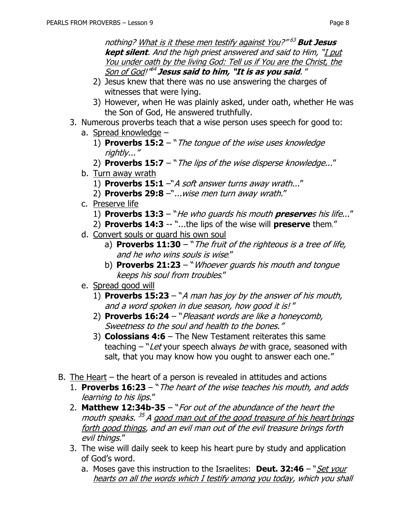nothing? What is it these men testify against You?" <sup>63</sup> **But Jesus kept silent**. And the high priest answered and said to Him, "I put You under oath by the living God: Tell us if You are the Christ, the Son of God!" 64 **Jesus said to him, "It is as you said**. "

- 2) Jesus knew that there was no use answering the charges of witnesses that were lying.
- 3) However, when He was plainly asked, under oath, whether He was the Son of God, He answered truthfully.
- 3. Numerous proverbs teach that a wise person uses speech for good to:
	- a. Spread knowledge
		- 1) **Proverbs 15:2** "The tongue of the wise uses knowledge rightly..."
		- 2) **Proverbs 15:7** "The lips of the wise disperse knowledge..."
	- b. Turn away wrath
		- 1) **Proverbs 15:1** –"A soft answer turns away wrath..."
		- 2) **Proverbs 29:8** –"...wise men turn away wrath."
	- c. Preserve life
		- 1) **Proverbs 13:3**  "He who guards his mouth **preserve**s his life..."
		- 2) **Proverbs 14:3** -- "...the lips of the wise will **preserve** them."
	- d. Convert souls or guard his own soul
		- a) **Proverbs 11:30** "The fruit of the righteous is a tree of life, and he who wins souls is wise."
		- b) **Proverbs 21:23**  "Whoever guards his mouth and tongue keeps his soul from troubles."
	- e. Spread good will
		- 1) **Proverbs 15:23**  "A man has joy by the answer of his mouth, and a word spoken in due season, how good it is! "
		- 2) **Proverbs 16:24** "Pleasant words are like a honeycomb, Sweetness to the soul and health to the bones."
		- 3) **Colossians 4:6**  The New Testament reiterates this same teaching  $-$  "Let your speech always be with grace, seasoned with salt, that you may know how you ought to answer each one."
- B. The Heart the heart of a person is revealed in attitudes and actions
	- 1. **Proverbs 16:23**  "The heart of the wise teaches his mouth, and adds learning to his lips."
	- 2. **Matthew 12:34b-35** "For out of the abundance of the heart the mouth speaks. <sup>35</sup> A <u>good man out of the good treasure of his heart brings</u> forth good things, and an evil man out of the evil treasure brings forth evil things."
	- 3. The wise will daily seek to keep his heart pure by study and application of God's word.
		- a. Moses gave this instruction to the Israelites: **Deut. 32:46**  "Set your hearts on all the words which I testify among you today, which you shall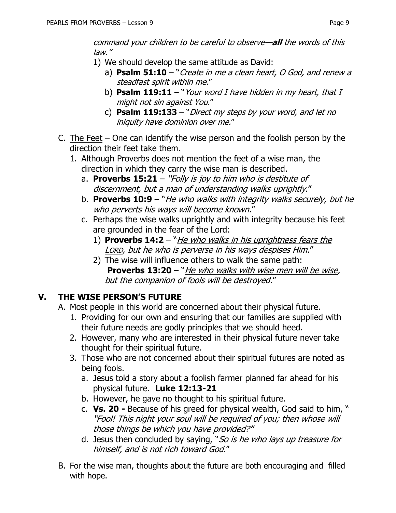command your children to be careful to observe—**all** the words of this law."

- 1) We should develop the same attitude as David:
	- a) **Psalm 51:10** "Create in me a clean heart, O God, and renew a steadfast spirit within me."
	- b) **Psalm 119:11** "Your word I have hidden in my heart, that I might not sin against You."
	- c) **Psalm 119:133**  "Direct my steps by your word, and let no iniquity have dominion over me."
- C. The Feet  $-$  One can identify the wise person and the foolish person by the direction their feet take them.
	- 1. Although Proverbs does not mention the feet of a wise man, the direction in which they carry the wise man is described.
		- a. **Proverbs 15:21** "Folly is joy to him who is destitute of discernment, but a man of understanding walks uprightly."
		- b. **Proverbs 10:9**  "He who walks with integrity walks securely, but he who perverts his ways will become known."
		- c. Perhaps the wise walks uprightly and with integrity because his feet are grounded in the fear of the Lord:
			- 1) **Proverbs 14:2**  "He who walks in his uprightness fears the LORD, but he who is perverse in his ways despises Him."
			- 2) The wise will influence others to walk the same path: **Proverbs 13:20** – "He who walks with wise men will be wise, but the companion of fools will be destroyed."

## **V. THE WISE PERSON'S FUTURE**

- A. Most people in this world are concerned about their physical future.
	- 1. Providing for our own and ensuring that our families are supplied with their future needs are godly principles that we should heed.
	- 2. However, many who are interested in their physical future never take thought for their spiritual future.
	- 3. Those who are not concerned about their spiritual futures are noted as being fools.
		- a. Jesus told a story about a foolish farmer planned far ahead for his physical future. **Luke 12:13-21**
		- b. However, he gave no thought to his spiritual future.
		- c. **Vs. 20 -** Because of his greed for physical wealth, God said to him, " "Fool! This night your soul will be required of you; then whose will those things be which you have provided?'"
		- d. Jesus then concluded by saying, "So is he who lays up treasure for himself, and is not rich toward God."
- B. For the wise man, thoughts about the future are both encouraging and filled with hope.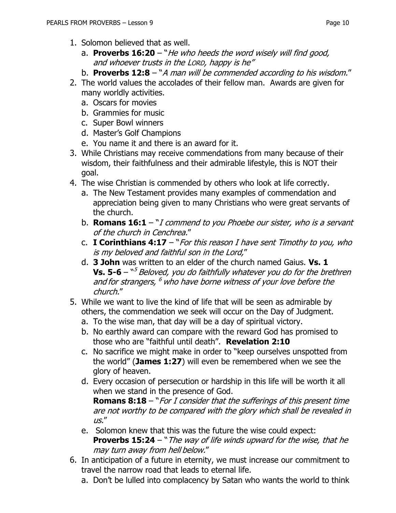- 1. Solomon believed that as well.
	- a. **Proverbs 16:20** "He who heeds the word wisely will find good, and whoever trusts in the LORD, happy is he"
	- b. **Proverbs 12:8**  "A man will be commended according to his wisdom."
- 2. The world values the accolades of their fellow man. Awards are given for many worldly activities.
	- a. Oscars for movies
	- b. Grammies for music
	- c. Super Bowl winners
	- d. Master's Golf Champions
	- e. You name it and there is an award for it.
- 3. While Christians may receive commendations from many because of their wisdom, their faithfulness and their admirable lifestyle, this is NOT their goal.
- 4. The wise Christian is commended by others who look at life correctly.
	- a. The New Testament provides many examples of commendation and appreciation being given to many Christians who were great servants of the church.
	- b. **Romans 16:1**  "I commend to you Phoebe our sister, who is a servant of the church in Cenchrea."
	- c. **I Corinthians 4:17**  "For this reason I have sent Timothy to you, who is my beloved and faithful son in the Lord,"
	- d. **3 John** was written to an elder of the church named Gaius. **Vs. 1 Vs. 5-6** – `*`` Beloved, you do faithfully whatever you do for the brethren* and for strangers, <sup>6</sup> who have borne witness of your love before the church."
- 5. While we want to live the kind of life that will be seen as admirable by others, the commendation we seek will occur on the Day of Judgment.
	- a. To the wise man, that day will be a day of spiritual victory.
	- b. No earthly award can compare with the reward God has promised to those who are "faithful until death". **Revelation 2:10**
	- c. No sacrifice we might make in order to "keep ourselves unspotted from the world" (**James 1:27**) will even be remembered when we see the glory of heaven.
	- d. Every occasion of persecution or hardship in this life will be worth it all when we stand in the presence of God.

**Romans 8:18** – "For I consider that the sufferings of this present time are not worthy to be compared with the glory which shall be revealed in  $\overline{US}$ ."

- e. Solomon knew that this was the future the wise could expect: **Proverbs 15:24** – "*The way of life winds upward for the wise, that he* may turn away from hell below."
- 6. In anticipation of a future in eternity, we must increase our commitment to travel the narrow road that leads to eternal life.
	- a. Don't be lulled into complacency by Satan who wants the world to think